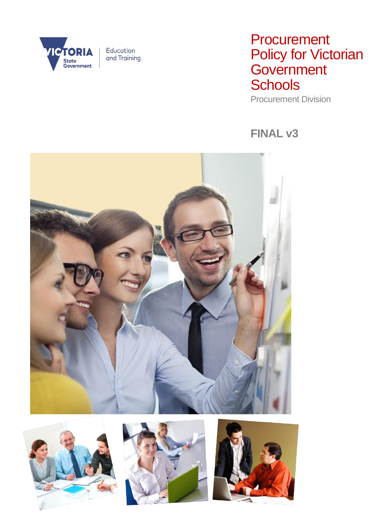

# **Procurement** Policy for Victorian **Government Schools**

Procurement Division

## **FINAL v3**







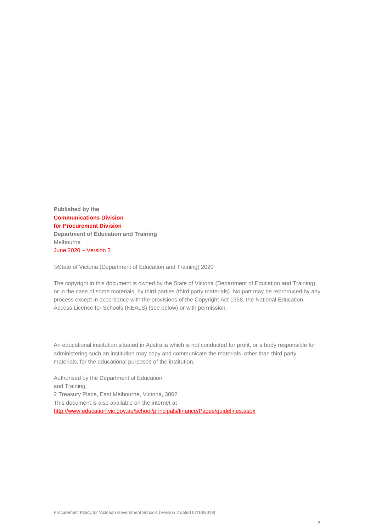**Published by the Communications Division for Procurement Division Department of Education and Training** Melbourne June 2020 – Version 3

©State of Victoria (Department of Education and Training) 2020

The copyright in this document is owned by the State of Victoria (Department of Education and Training), or in the case of some materials, by third parties (third party materials). No part may be reproduced by any process except in accordance with the provisions of the Copyright Act 1968, the National Education Access Licence for Schools (NEALS) (see below) or with permission.

An educational institution situated in Australia which is not conducted for profit, or a body responsible for administering such an institution may copy and communicate the materials, other than third party materials, for the educational purposes of the institution.

Authorised by the Department of Education and Training. 2 Treasury Place, East Melbourne, Victoria, 3002. This document is also available on the internet at <http://www.education.vic.gov.au/school/principals/finance/Pages/guidelines.aspx>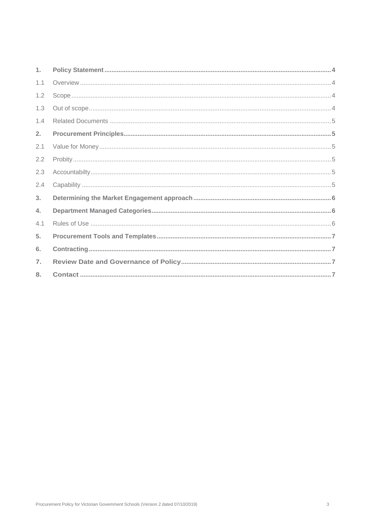| 1.               |  |
|------------------|--|
| 1.1              |  |
| 1.2              |  |
| 1.3              |  |
| 1.4              |  |
| 2.               |  |
| 2.1              |  |
| 2.2              |  |
| 2.3              |  |
| 2.4              |  |
| 3.               |  |
| 4.               |  |
| 4.1              |  |
| 5 <sub>1</sub>   |  |
| 6.               |  |
| $\overline{7}$ . |  |
| 8.               |  |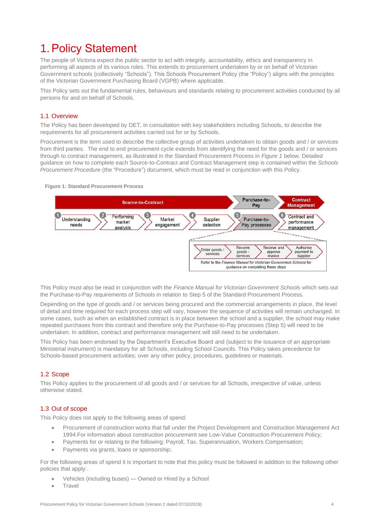## <span id="page-3-0"></span>1.Policy Statement

The people of Victoria expect the public sector to act with integrity, accountability, ethics and transparency in performing all aspects of its various roles. This extends to procurement undertaken by or on behalf of Victorian Government schools (collectively "Schools"). This Schools Procurement Policy (the "Policy") aligns with the principles of the Victorian Government Purchasing Board (VGPB) where applicable.

This Policy sets out the fundamental rules, behaviours and standards relating to procurement activities conducted by all persons for and on behalf of Schools.

### <span id="page-3-1"></span>1.1 Overview

The Policy has been developed by DET, in consultation with key stakeholders including Schools, to describe the requirements for all procurement activities carried out for or by Schools.

Procurement is the term used to describe the collective group of activities undertaken to obtain goods and / or services from third parties. The end to end procurement cycle extends from identifying the need for the goods and / or services through to contract management, as illustrated in the Standard Procurement Process in *Figure 1* below. Detailed guidance on how to complete each Source-to-Contract and Contract Management step is contained within the *Schools Procurement Procedure* (the "Procedure") document, which must be read in conjunction with this Policy.

#### **Figure 1: Standard Procurement Process**



This Policy must also be read in conjunction with the *Finance Manual for Victorian Government Schools* which sets out the Purchase-to-Pay requirements of Schools in relation to Step 5 of the Standard Procurement Process.

Depending on the type of goods and / or services being procured and the commercial arrangements in place, the level of detail and time required for each process step will vary, however the sequence of activities will remain unchanged. In some cases, such as when an established contract is in place between the school and a supplier, the school may make repeated purchases from this contract and therefore only the Purchase-to-Pay processes (Step 5) will need to be undertaken. In addition, contract and performance management will still need to be undertaken.

This Policy has been endorsed by the Department's Executive Board and (subject to the issuance of an appropriate Ministerial instrument) is mandatory for all Schools, including School Councils. This Policy takes precedence for Schools-based procurement activities; over any other policy, procedures, guidelines or materials.

### <span id="page-3-2"></span>1.2 Scope

This Policy applies to the procurement of all goods and / or services for all Schools, irrespective of value, unless otherwise stated.

#### <span id="page-3-3"></span>1.3 Out of scope

This Policy does not apply to the following areas of spend:

- Procurement of construction works that fall under the Project Development and Construction Management Act 1994.For information about construction procurement see Low-Value Construction Procurement Policy*;*
- Payments for or relating to the following: Payroll, Tax, Superannuation, Workers Compensation;
- Payments via grants, loans or sponsorship;

For the following areas of spend it is important to note that this policy must be followed in addition to the following other policies that apply:.

- Vehicles (including buses) Owned or Hired by a School
- **Travel**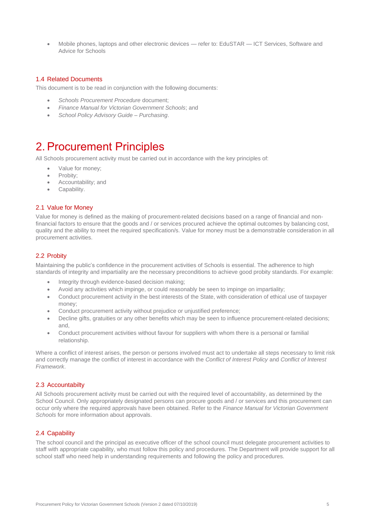• Mobile phones, laptops and other electronic devices — refer to: EduSTAR — ICT Services, Software and Advice for Schools

### <span id="page-4-0"></span>1.4 Related Documents

This document is to be read in conjunction with the following documents:

- *Schools Procurement Procedure* document;
- *Finance Manual for Victorian Government Schools*; and
- *School Policy Advisory Guide – Purchasing*.

### <span id="page-4-1"></span>2.Procurement Principles

All Schools procurement activity must be carried out in accordance with the key principles of:

- Value for money;
- Probity;
- Accountability; and
- Capability.

#### <span id="page-4-2"></span>2.1 Value for Money

Value for money is defined as the making of procurement-related decisions based on a range of financial and nonfinancial factors to ensure that the goods and / or services procured achieve the optimal outcomes by balancing cost, quality and the ability to meet the required specification/s. Value for money must be a demonstrable consideration in all procurement activities.

### <span id="page-4-3"></span>2.2 Probity

Maintaining the public's confidence in the procurement activities of Schools is essential. The adherence to high standards of integrity and impartiality are the necessary preconditions to achieve good probity standards. For example:

- Integrity through evidence-based decision making;
- Avoid any activities which impinge, or could reasonably be seen to impinge on impartiality;
- Conduct procurement activity in the best interests of the State, with consideration of ethical use of taxpayer money;
- Conduct procurement activity without prejudice or unjustified preference;
- Decline gifts, gratuities or any other benefits which may be seen to influence procurement-related decisions; and,
- Conduct procurement activities without favour for suppliers with whom there is a personal or familial relationship.

Where a conflict of interest arises, the person or persons involved must act to undertake all steps necessary to limit risk and correctly manage the conflict of interest in accordance with the *Conflict of Interest Policy* and *Conflict of Interest Framework*.

#### <span id="page-4-4"></span>2.3 Accountabilty

All Schools procurement activity must be carried out with the required level of accountability, as determined by the School Council. Only appropriately designated persons can procure goods and / or services and this procurement can occur only where the required approvals have been obtained. Refer to the *Finance Manual for Victorian Government Schools* for more information about approvals.

### <span id="page-4-5"></span>2.4 Capability

The school council and the principal as executive officer of the school council must delegate procurement activities to staff with appropriate capability, who must follow this policy and procedures. The Department will provide support for all school staff who need help in understanding requirements and following the policy and procedures.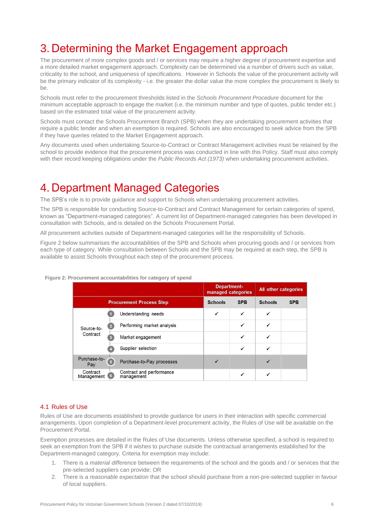## <span id="page-5-0"></span>3. Determining the Market Engagement approach

The procurement of more complex goods and / or services may require a higher degree of procurement expertise and a more detailed market engagement approach. Complexity can be determined via a number of drivers such as value, criticality to the school, and uniqueness of specifications. However in Schools the value of the procurement activity will be the primary indicator of its complexity - i.e. the greater the dollar value the more complex the procurement is likely to be.

Schools must refer to the procurement thresholds listed in the *Schools Procurement Procedure* document for the minimum acceptable approach to engage the market (i.e. the minimum number and type of quotes, public tender etc.) based on the estimated total value of the procurement activity.

Schools must contact the Schools Procurement Branch (SPB) when they are undertaking procurement activities that require a public tender and when an exemption is required. Schools are also encouraged to seek advice from the SPB if they have queries related to the Market Engagement approach.

Any documents used when undertaking Source-to-Contract or Contract Management activities must be retained by the school to provide evidence that the procurement process was conducted in line with this Policy. Staff must also comply with their record keeping obligations under the *Public Records Act (1973)* when undertaking procurement activities.

## <span id="page-5-1"></span>4. Department Managed Categories

The SPB's role is to provide guidance and support to Schools when undertaking procurement activities.

The SPB is responsible for conducting Source-to-Contract and Contract Management for certain categories of spend, known as "Department-managed categories". A current list of Department-managed categories has been developed in consultation with Schools, and is detailed on the Schools Procurement Portal.

All procurement activities outside of Department-managed categories will be the responsibility of Schools.

Figure 2 below summarises the accountabilities of the SPB and Schools when procuring goods and / or services from each type of category. While consultation between Schools and the SPB may be required at each step, the SPB is available to assist Schools throughout each step of the procurement process.

|                        |                                                           |                | <b>Department-</b><br>managed categories |                | All other categories |  |
|------------------------|-----------------------------------------------------------|----------------|------------------------------------------|----------------|----------------------|--|
|                        | <b>Procurement Process Step</b>                           | <b>Schools</b> | <b>SPB</b>                               | <b>Schools</b> | <b>SPB</b>           |  |
|                        | Understanding needs                                       | √              | ✓                                        |                |                      |  |
| Source-to-             | Performing market analysis<br>$\overline{2}$              |                | √                                        | ✓              |                      |  |
| Contract               | Market engagement<br>R                                    |                | ✓                                        | ✓              |                      |  |
|                        | Supplier selection                                        |                | $\checkmark$                             | √              |                      |  |
| Purchase-to-<br>Pay    | 6<br>Purchase-to-Pay processes                            |                |                                          |                |                      |  |
| Contract<br>Management | Contract and performance<br>$6\phantom{.}6$<br>management |                | $\checkmark$                             | ✓              |                      |  |

#### **Figure 2: Procurement accountabilities for category of spend**

#### <span id="page-5-2"></span>4.1 Rules of Use

Rules of Use are documents established to provide guidance for users in their interaction with specific commercial arrangements. Upon completion of a Department-level procurement activity, the Rules of Use will be available on the Procurement Portal.

Exemption processes are detailed in the Rules of Use documents. Unless otherwise specified, a school is required to seek an exemption from the SPB if it wishes to purchase outside the contractual arrangements established for the Department-managed category. Criteria for exemption may include:

- 1. There is a *material difference* between the requirements of the school and the goods and / or services that the pre-selected suppliers can provide; OR
- 2. There is a *reasonable expectation* that the school should purchase from a non-pre-selected supplier in favour of local suppliers.